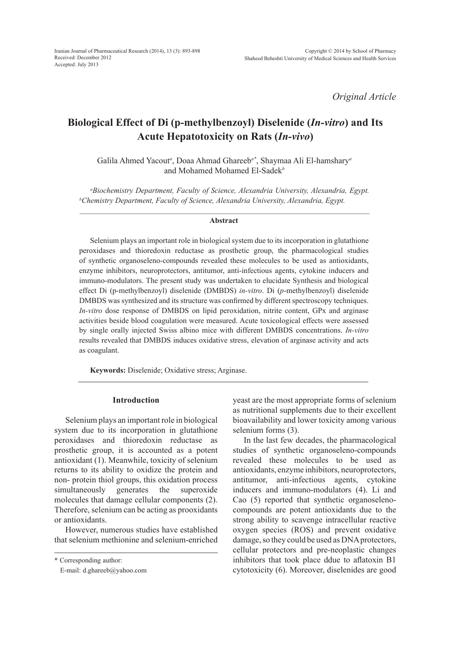*Original Article*

# **Biological Effect of Di (p-methylbenzoyl) Diselenide (***In-vitro***) and Its Acute Hepatotoxicity on Rats (***In-vivo***)**

Galila Ahmed Yacout*<sup>a</sup>* , Doaa Ahmad Ghareeb*a\**, Shaymaa Ali El-hamshary*<sup>a</sup>* and Mohamed Mohamed El-Sadek*<sup>b</sup>*

<sup>a</sup>Biochemistry Department, Faculty of Science, Alexandria University, Alexandria, Egypt.<br><sup>b</sup>Chemistry Department, Faculty of Science, Alexandria University, Alexandria, Foynt *Chemistry Department, Faculty of Science, Alexandria University, Alexandria, Egypt.*

#### **Abstract**

Selenium plays an important role in biological system due to its incorporation in glutathione peroxidases and thioredoxin reductase as prosthetic group, the pharmacological studies of synthetic organoseleno-compounds revealed these molecules to be used as antioxidants, enzyme inhibitors, neuroprotectors, antitumor, anti-infectious agents, cytokine inducers and immuno-modulators. The present study was undertaken to elucidate Synthesis and biological effect Di (p-methylbenzoyl) diselenide (DMBDS) *in-vitro*. Di (*p*-methylbenzoyl) diselenide DMBDS was synthesized and its structure was confirmed by different spectroscopy techniques. *In-vitro* dose response of DMBDS on lipid peroxidation, nitrite content, GPx and arginase activities beside blood coagulation were measured. Acute toxicological effects were assessed by single orally injected Swiss albino mice with different DMBDS concentrations. *In-vitro* results revealed that DMBDS induces oxidative stress, elevation of arginase activity and acts as coagulant.

**Keywords:** Diselenide; Oxidative stress; Arginase.

### **Introduction**

Selenium plays an important role in biological system due to its incorporation in glutathione peroxidases and thioredoxin reductase as prosthetic group, it is accounted as a potent antioxidant (1). Meanwhile, toxicity of selenium returns to its ability to oxidize the protein and non- protein thiol groups, this oxidation process simultaneously generates the superoxide molecules that damage cellular components (2). Therefore, selenium can be acting as prooxidants or antioxidants.

However, numerous studies have established that selenium methionine and selenium-enriched yeast are the most appropriate forms of selenium as nutritional supplements due to their excellent bioavailability and lower toxicity among various selenium forms (3).

In the last few decades, the pharmacological studies of synthetic organoseleno-compounds revealed these molecules to be used as antioxidants, enzyme inhibitors, neuroprotectors, antitumor, anti-infectious agents, cytokine inducers and immuno-modulators (4). Li and Cao (5) reported that synthetic organoselenocompounds are potent antioxidants due to the strong ability to scavenge intracellular reactive oxygen species (ROS) and prevent oxidative damage, so they could be used as DNA protectors, cellular protectors and pre-neoplastic changes inhibitors that took place ddue to aflatoxin B1 cytotoxicity (6). Moreover, diselenides are good

<sup>\*</sup> Corresponding author:

E-mail: d.ghareeb@yahoo.com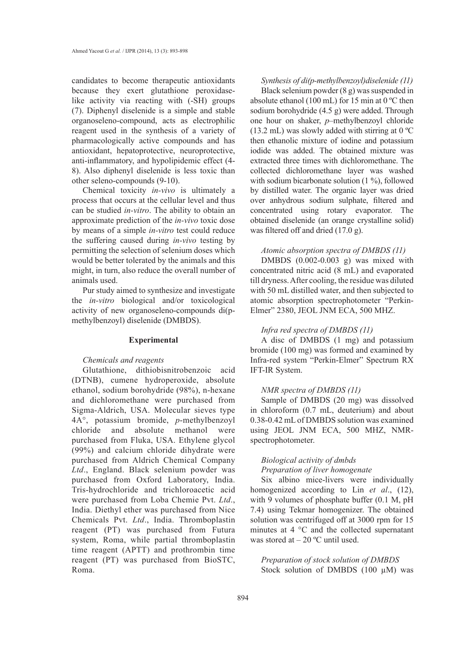candidates to become therapeutic antioxidants because they exert glutathione peroxidaselike activity via reacting with (-SH) groups (7). Diphenyl diselenide is a simple and stable organoseleno-compound, acts as electrophilic reagent used in the synthesis of a variety of pharmacologically active compounds and has antioxidant, hepatoprotective, neuroprotective, anti-inflammatory, and hypolipidemic effect (4- 8). Also diphenyl diselenide is less toxic than other seleno-compounds (9-10).

Chemical toxicity *in-vivo* is ultimately a process that occurs at the cellular level and thus can be studied *in-vitro*. The ability to obtain an approximate prediction of the *in-vivo* toxic dose by means of a simple *in-vitro* test could reduce the suffering caused during *in-vivo* testing by permitting the selection of selenium doses which would be better tolerated by the animals and this might, in turn, also reduce the overall number of animals used.

Pur study aimed to synthesize and investigate the *in-vitro* biological and/or toxicological activity of new organoseleno-compounds di(pmethylbenzoyl) diselenide (DMBDS).

### **Experimental**

### *Chemicals and reagents*

Glutathione, dithiobisnitrobenzoic acid (DTNB), cumene hydroperoxide, absolute ethanol, sodium borohydride (98%), n-hexane and dichloromethane were purchased from Sigma-Aldrich, USA. Molecular sieves type 4A°, potassium bromide, *p*-methylbenzoyl chloride and absolute methanol were purchased from Fluka, USA. Ethylene glycol (99%) and calcium chloride dihydrate were purchased from Aldrich Chemical Company *Ltd*., England. Black selenium powder was purchased from Oxford Laboratory, India. Tris-hydrochloride and trichloroacetic acid were purchased from Loba Chemie Pvt. *Ltd*., India. Diethyl ether was purchased from Nice Chemicals Pvt. *Ltd*., India. Thromboplastin reagent (PT) was purchased from Futura system, Roma, while partial thromboplastin time reagent (APTT) and prothrombin time reagent (PT) was purchased from BioSTC, Roma.

#### *Synthesis of di(p-methylbenzoyl)diselenide (11)*

Black selenium powder (8 g) was suspended in absolute ethanol (100 mL) for 15 min at 0 ºC then sodium borohydride (4.5 g) were added. Through one hour on shaker, *p–*methylbenzoyl chloride (13.2 mL) was slowly added with stirring at  $0^{\circ}$ C then ethanolic mixture of iodine and potassium iodide was added. The obtained mixture was extracted three times with dichloromethane. The collected dichloromethane layer was washed with sodium bicarbonate solution (1 %), followed by distilled water. The organic layer was dried over anhydrous sodium sulphate, filtered and concentrated using rotary evaporator. The obtained diselenide (an orange crystalline solid) was filtered off and dried (17.0 g).

### *Atomic absorption spectra of DMBDS (11)*

DMBDS (0.002-0.003 g) was mixed with concentrated nitric acid (8 mL) and evaporated till dryness. After cooling, the residue was diluted with 50 mL distilled water, and then subjected to atomic absorption spectrophotometer "Perkin-Elmer" 2380, JEOL JNM ECA, 500 MHZ.

## *Infra red spectra of DMBDS (11)*

A disc of DMBDS (1 mg) and potassium bromide (100 mg) was formed and examined by Infra-red system "Perkin-Elmer" Spectrum RX IFT-IR System.

### *NMR spectra of DMBDS (11)*

Sample of DMBDS (20 mg) was dissolved in chloroform (0.7 mL, deuterium) and about 0.38-0.42 mL of DMBDS solution was examined using JEOL JNM ECA, 500 MHZ, NMRspectrophotometer.

# *Biological activity of dmbds Preparation of liver homogenate*

Six albino mice-livers were individually homogenized according to Lin *et al*., (12), with 9 volumes of phosphate buffer (0.1 M, pH 7.4) using Tekmar homogenizer. The obtained solution was centrifuged off at 3000 rpm for 15 minutes at 4 °C and the collected supernatant was stored at  $-20$  °C until used.

*Preparation of stock solution of DMBDS* Stock solution of DMBDS (100 µM) was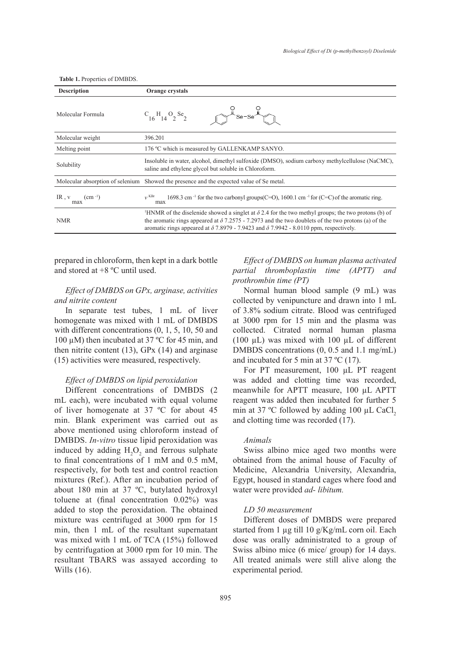| <b>Description</b>              | Orange crystals                                                                                                                                                                                                                                                                                                                             |  |  |
|---------------------------------|---------------------------------------------------------------------------------------------------------------------------------------------------------------------------------------------------------------------------------------------------------------------------------------------------------------------------------------------|--|--|
| Molecular Formula               | $C_{16}H_{14}O_2$ Se <sub>2</sub>                                                                                                                                                                                                                                                                                                           |  |  |
| Molecular weight                | 396.201                                                                                                                                                                                                                                                                                                                                     |  |  |
| Melting point                   | 176 °C which is measured by GALLENKAMP SANYO.                                                                                                                                                                                                                                                                                               |  |  |
| Solubility                      | Insoluble in water, alcohol, dimethyl sulfoxide (DMSO), sodium carboxy methylcellulose (NaCMC),<br>saline and ethylene glycol but soluble in Chloroform.                                                                                                                                                                                    |  |  |
|                                 | Molecular absorption of selenium Showed the presence and the expected value of Se metal.                                                                                                                                                                                                                                                    |  |  |
| IR, $v$<br>(cm $^{-1}$ )<br>max | $v$ <sub>KBr</sub><br>1698.3 cm <sup>-1</sup> for the two carbonyl groups(C=O), 1600.1 cm <sup>-1</sup> for (C=C) of the aromatic ring.<br>max                                                                                                                                                                                              |  |  |
| <b>NMR</b>                      | <sup>1</sup> HNMR of the diselenide showed a singlet at $\delta$ 2.4 for the two methyl groups; the two protons (b) of<br>the aromatic rings appeared at $\delta$ 7.2575 - 7.2973 and the two doublets of the two protons (a) of the<br>aromatic rings appeared at $\delta$ 7.8979 - 7.9423 and $\delta$ 7.9942 - 8.0110 ppm, respectively. |  |  |

**Table 1.** Properties of DMBDS.

prepared in chloroform, then kept in a dark bottle and stored at +8 ºC until used.

# *Effect of DMBDS on GPx, arginase, activities and nitrite content*

In separate test tubes, 1 mL of liver homogenate was mixed with 1 mL of DMBDS with different concentrations (0, 1, 5, 10, 50 and 100 µM) then incubated at 37 ºC for 45 min, and then nitrite content  $(13)$ , GPx  $(14)$  and arginase (15) activities were measured, respectively.

## *Effect of DMBDS on lipid peroxidation*

Different concentrations of DMBDS (2 mL each), were incubated with equal volume of liver homogenate at 37 ºC for about 45 min. Blank experiment was carried out as above mentioned using chloroform instead of DMBDS. *In-vitro* tissue lipid peroxidation was induced by adding  $H_2O_2$  and ferrous sulphate to final concentrations of 1 mM and 0.5 mM, respectively, for both test and control reaction mixtures (Ref.). After an incubation period of about 180 min at 37 ºC, butylated hydroxyl toluene at (final concentration 0.02%) was added to stop the peroxidation. The obtained mixture was centrifuged at 3000 rpm for 15 min, then 1 mL of the resultant supernatant was mixed with 1 mL of TCA (15%) followed by centrifugation at 3000 rpm for 10 min. The resultant TBARS was assayed according to Wills (16).

*Effect of DMBDS on human plasma activated partial thromboplastin time (APTT) and prothrombin time (PT)* 

Normal human blood sample (9 mL) was collected by venipuncture and drawn into 1 mL of 3.8% sodium citrate. Blood was centrifuged at 3000 rpm for 15 min and the plasma was collected. Citrated normal human plasma (100 µL) was mixed with 100 µL of different DMBDS concentrations (0, 0.5 and 1.1 mg/mL) and incubated for 5 min at 37 ºC (17).

For PT measurement, 100 µL PT reagent was added and clotting time was recorded, meanwhile for APTT measure, 100 µL APTT reagent was added then incubated for further 5 min at 37  $^{\circ}$ C followed by adding 100 µL CaCl<sub>2</sub> and clotting time was recorded (17).

# *Animals*

Swiss albino mice aged two months were obtained from the animal house of Faculty of Medicine, Alexandria University, Alexandria, Egypt, housed in standard cages where food and water were provided *ad- libitum.*

# *LD 50 measurement*

Different doses of DMBDS were prepared started from 1 µg till 10 g/Kg/mL corn oil. Each dose was orally administrated to a group of Swiss albino mice (6 mice/ group) for 14 days. All treated animals were still alive along the experimental period.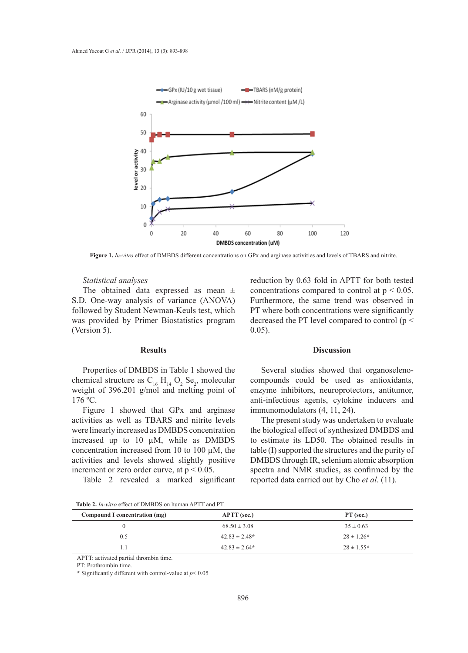

**Figure 1.** *In-vitro* effect of DMBDS different concentrations on GPx and arginase activities and levels of TBARS and nitrite.

#### *Statistical analyses*

The obtained data expressed as mean  $\pm$ S.D. One-way analysis of variance (ANOVA) followed by Student Newman-Keuls test, which was provided by Primer Biostatistics program (Version 5).

#### **Results**

Properties of DMBDS in Table 1 showed the chemical structure as  $C_{16}$  H<sub>14</sub> O<sub>2</sub> Se<sub>2</sub>, molecular weight of 396.201 g/mol and melting point of 176 ºC.

Figure 1 showed that GPx and arginase activities as well as TBARS and nitrite levels were linearly increased as DMBDS concentration increased up to 10 µM, while as DMBDS concentration increased from 10 to 100 µM, the activities and levels showed slightly positive increment or zero order curve, at  $p < 0.05$ .

Table 2 revealed a marked significant

reduction by 0.63 fold in APTT for both tested concentrations compared to control at  $p < 0.05$ . Furthermore, the same trend was observed in PT where both concentrations were significantly decreased the PT level compared to control (p < 0.05).

#### **Discussion**

Several studies showed that organoselenocompounds could be used as antioxidants, enzyme inhibitors, neuroprotectors, antitumor, anti-infectious agents, cytokine inducers and immunomodulators (4, 11, 24).

The present study was undertaken to evaluate the biological effect of synthesized DMBDS and to estimate its LD50. The obtained results in table (I) supported the structures and the purity of DMBDS through IR, selenium atomic absorption spectra and NMR studies, as confirmed by the reported data carried out by Cho *et al*. (11).

**Table 2.** *In-vitro* effect of DMBDS on human APTT and PT.

| Compound I concentration (mg) | <b>APTT</b> (sec.) | $PT$ (sec.)    |
|-------------------------------|--------------------|----------------|
|                               | $68.50 \pm 3.08$   | $35 \pm 0.63$  |
| 0.5                           | $42.83 \pm 2.48^*$ | $28 \pm 1.26*$ |
| 1.1                           | $42.83 \pm 2.64*$  | $28 \pm 1.55*$ |

APTT: activated partial thrombin time.

PT: Prothrombin time.

**\*** Significantly different with control-value at *p*< 0.05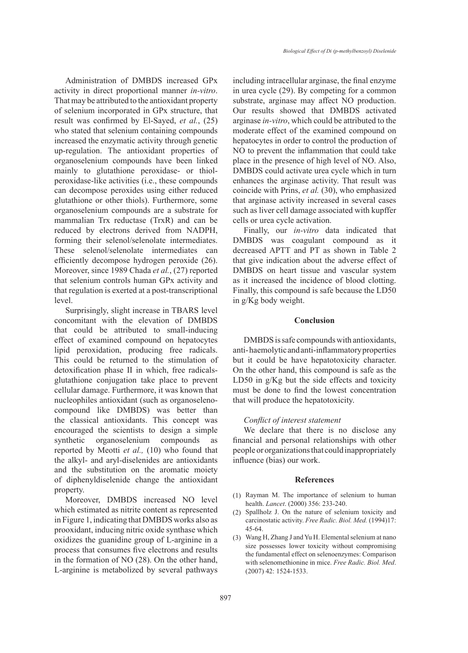Administration of DMBDS increased GPx activity in direct proportional manner *in-vitro*. That may be attributed to the antioxidant property of selenium incorporated in GPx structure, that result was confirmed by El-Sayed, *et al.*, (25) who stated that selenium containing compounds increased the enzymatic activity through genetic up-regulation. The antioxidant properties of organoselenium compounds have been linked mainly to glutathione peroxidase- or thiolperoxidase-like activities (i.e., these compounds can decompose peroxides using either reduced glutathione or other thiols). Furthermore, some organoselenium compounds are a substrate for mammalian Trx reductase (TrxR) and can be reduced by electrons derived from NADPH, forming their selenol/selenolate intermediates. These selenol/selenolate intermediates can efficiently decompose hydrogen peroxide (26). Moreover, since 1989 Chada *et al.*, (27) reported that selenium controls human GPx activity and that regulation is exerted at a post-transcriptional level.

Surprisingly, slight increase in TBARS level concomitant with the elevation of DMBDS that could be attributed to small-inducing effect of examined compound on hepatocytes lipid peroxidation, producing free radicals. This could be returned to the stimulation of detoxification phase II in which, free radicalsglutathione conjugation take place to prevent cellular damage. Furthermore, it was known that nucleophiles antioxidant (such as organoselenocompound like DMBDS) was better than the classical antioxidants. This concept was encouraged the scientists to design a simple synthetic organoselenium compounds as reported by Meotti *et al.,* (10) who found that the alkyl- and aryl-diselenides are antioxidants and the substitution on the aromatic moiety of diphenyldiselenide change the antioxidant property.

Moreover, DMBDS increased NO level which estimated as nitrite content as represented in Figure 1, indicating that DMBDS works also as prooxidant, inducing nitric oxide synthase which oxidizes the guanidine group of L-arginine in a process that consumes five electrons and results in the formation of NO (28). On the other hand, L-arginine is metabolized by several pathways including intracellular arginase, the final enzyme in urea cycle (29). By competing for a common substrate, arginase may affect NO production. Our results showed that DMBDS activated arginase *in-vitro*, which could be attributed to the moderate effect of the examined compound on hepatocytes in order to control the production of NO to prevent the inflammation that could take place in the presence of high level of NO. Also, DMBDS could activate urea cycle which in turn enhances the arginase activity. That result was coincide with Prins, *et al.* (30), who emphasized that arginase activity increased in several cases such as liver cell damage associated with kupffer cells or urea cycle activation.

Finally, our *in-vitro* data indicated that DMBDS was coagulant compound as it decreased APTT and PT as shown in Table 2 that give indication about the adverse effect of DMBDS on heart tissue and vascular system as it increased the incidence of blood clotting. Finally, this compound is safe because the LD50 in g/Kg body weight.

### **Conclusion**

DMBDS is safe compounds with antioxidants, anti- haemolytic and anti-inflammatory properties but it could be have hepatotoxicity character. On the other hand, this compound is safe as the LD50 in g/Kg but the side effects and toxicity must be done to find the lowest concentration that will produce the hepatotoxicity.

### *Conflict of interest statement*

We declare that there is no disclose any financial and personal relationships with other people or organizations that could inappropriately influence (bias) our work.

### **References**

- $(1)$  Rayman M. The importance of selenium to human health. *Lancet*. (2000) 356: 233-240.
- (2) Spallholz J. On the nature of selenium toxicity and carcinostatic activity. *Free Radic. Biol. Med.* (1994)17: 45-64.
- Wang H, Zhang J and Yu H. Elemental selenium at nano (3) size possesses lower toxicity without compromising the fundamental effect on selenoenzymes: Comparison with selenomethionine in mice. *Free Radic. Biol. Med*. (2007) 42: 1524-1533.